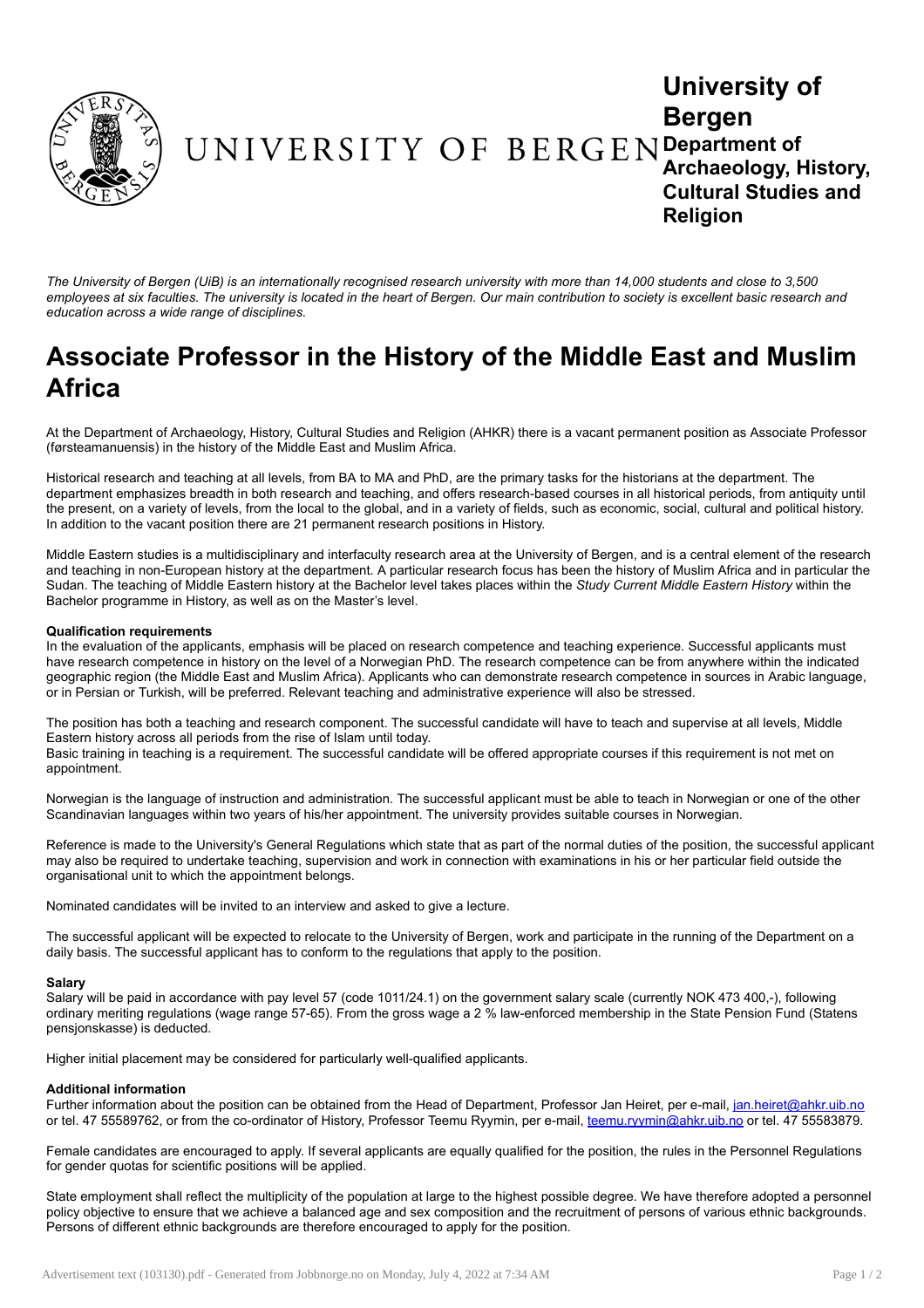

# University of Bergen Department of Archaeology, History, Cultural Studies and Religion

The University of Bergen (UiB) is an internationally recognised research university with more than 14.000 students and close to 3.500 employees at six faculties. The university is located in the heart of Bergen. Our main contribution to society is excellent basic research and *education across a wide range of disciplines.*

# Associate Professor in the History of the Middle East and Muslim Africa

At the Department of Archaeology, History, Cultural Studies and Religion (AHKR) there is a vacant permanent position as Associate Professor (førsteamanuensis) in the history of the Middle East and Muslim Africa.

Historical research and teaching at all levels, from BA to MA and PhD, are the primary tasks for the historians at the department. The department emphasizes breadth in both research and teaching, and offers research-based courses in all historical periods, from antiquity until the present, on a variety of levels, from the local to the global, and in a variety of fields, such as economic, social, cultural and political history. In addition to the vacant position there are 21 permanent research positions in History.

Middle Eastern studies is a multidisciplinary and interfaculty research area at the University of Bergen, and is a central element of the research and teaching in non-European history at the department. A particular research focus has been the history of Muslim Africa and in particular the Sudan. The teaching of Middle Eastern history at the Bachelor level takes places within the *Study Current Middle Eastern History* within the Bachelor programme in History, as well as on the Master's level.

#### Qualification requirements

In the evaluation of the applicants, emphasis will be placed on research competence and teaching experience. Successful applicants must have research competence in history on the level of a Norwegian PhD. The research competence can be from anywhere within the indicated geographic region (the Middle East and Muslim Africa). Applicants who can demonstrate research competence in sources in Arabic language, or in Persian or Turkish, will be preferred. Relevant teaching and administrative experience will also be stressed.

The position has both a teaching and research component. The successful candidate will have to teach and supervise at all levels, Middle Eastern history across all periods from the rise of Islam until today.

Basic training in teaching is a requirement. The successful candidate will be offered appropriate courses if this requirement is not met on appointment.

Norwegian is the language of instruction and administration. The successful applicant must be able to teach in Norwegian or one of the other Scandinavian languages within two years of his/her appointment. The university provides suitable courses in Norwegian.

Reference is made to the University's General Regulations which state that as part of the normal duties of the position, the successful applicant may also be required to undertake teaching, supervision and work in connection with examinations in his or her particular field outside the organisational unit to which the appointment belongs.

Nominated candidates will be invited to an interview and asked to give a lecture.

The successful applicant will be expected to relocate to the University of Bergen, work and participate in the running of the Department on a daily basis. The successful applicant has to conform to the regulations that apply to the position.

# Salary

Salary will be paid in accordance with pay level 57 (code 1011/24.1) on the government salary scale (currently NOK 473 400,-), following ordinary meriting regulations (wage range 57-65). From the gross wage a 2 % law-enforced membership in the State Pension Fund (Statens pensjonskasse) is deducted.

Higher initial placement may be considered for particularly well-qualified applicants.

# Additional information

Further information about the position can be obtained from the Head of Department, Professor Jan Heiret, per e-mail, [jan.heiret@ahkr.uib.no](mailto:jan.heiret@ahkr.uib.no) or tel. 47 55589762, or from the co-ordinator of History, Professor Teemu Ryymin, per e-mail, [teemu.ryymin@ahkr.uib.no](mailto:teemu.ryymin@ahkr.uib.no) or tel. 47 55583879.

Female candidates are encouraged to apply. If several applicants are equally qualified for the position, the rules in the Personnel Regulations for gender quotas for scientific positions will be applied.

State employment shall reflect the multiplicity of the population at large to the highest possible degree. We have therefore adopted a personnel policy objective to ensure that we achieve a balanced age and sex composition and the recruitment of persons of various ethnic backgrounds. Persons of different ethnic backgrounds are therefore encouraged to apply for the position.